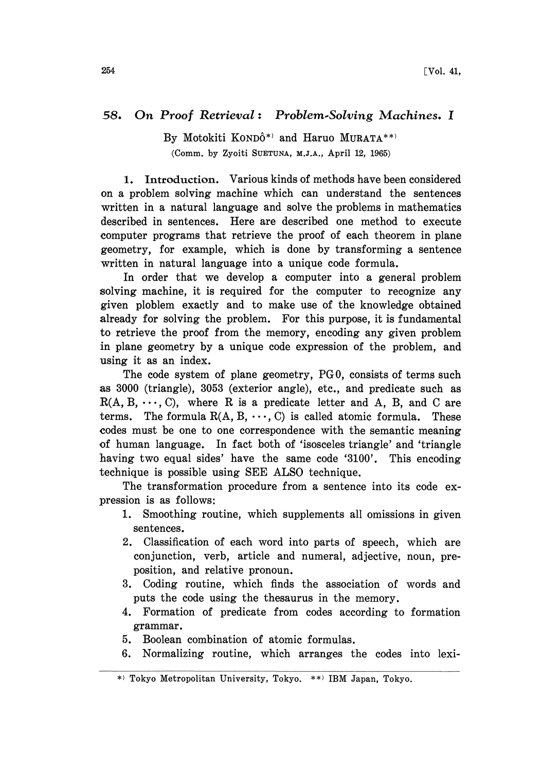## 58. On Proof Retrieval: Problem-Solving Machines. I

By Motokiti KONDÔ\*) and Haruo MURATA\*\*) (Comm. by Zyoiti SUETUNA, M.J.A., April 12, 1965)

1. Introduction. Various kinds of methods have been considered on a problem solving machine which can understand the sentences written in a natural language and solve the problems in mathematics described in sentences. Here are described one method to execute computer programs that retrieve the proof of each theorem in plane geometry, for example, which is done by transforming a sentence written in natural language into a unique code formula.

In order that we develop a computer into a general problem solving machine, it is required for the computer to recognize any given ploblem exactly and to make use of the knowledge obtained already for solving the problem. For this purpose, it is fundamental to retrieve the proof from the memory, encoding any given problem in plane geometry by a unique code expression of the problem, and using it as an index.

The code system of plane geometry, PG0, consists of terms such as 3000 (triangle), 3053 (exterior angle), etc., and predicate such as  $R(A, B, \dots, C)$ , where R is a predicate letter and A, B, and C are terms. The formula  $R(A, B, \dots, C)$  is called atomic formula. These codes must be one to one correspondence with the semantic meaning of human language. In fact both of 'isosceles triangle' and 'triangle having two equal sides' have the same code '3100'. This encoding technique is possible using SEE ALSO technique.

The transformation procedure from a sentence into its code expression is as follows:

- 1. Smoothing routine, which supplements all omissions in given sentences.
- 2. Classification of each word into parts of speech, which are conjunction, verb, article and numeral, adjective, noun, preposition, and relative pronoun.
- 3. Coding routine, which finds the association of words and puts the code using the thesaurus in the memory.
- 4. Formation of predicate from codes according to formation grammar.
- 5. Boolean combination of atomic formulas.
- 6. Normalizing routine, which arranges the codes into lexi-

Tokyo Metropolitan University, Tokyo. \*\*) IBM Japan, Tokyo.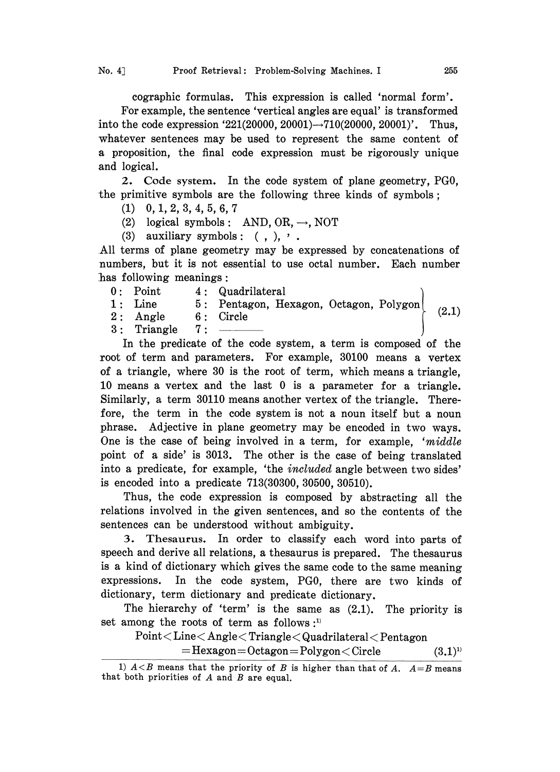cographic formulas. This expression is called 'normal form'. For example, the sentence 'vertical angles are equal' is transformed into the code expression '221(20000, 20001) $\rightarrow$ 710(20000, 20001)'. Thus, whatever sentences may be used to represent the same content of a proposition, the final code expression must be rigorously unique and logical.

2. Code system. In the code system of plane geometry, PG0, the primitive symbols are the following three kinds of symbols;

- (1) 0,1,2,3,4,5,6,7
- (2) logical symbols: AND, OR,  $\rightarrow$ , NOT
- (3) auxiliary symbols:  $($ ,  $),$ ,  $\cdot$

.All terms of plane geometry may be expressed by concatenations of numbers, but it is not essential to use octal number. Each number has following meanings:

- 0: Point 4: Quadrilateral
- 1: Line 5: Pentagon, Hexagon, Octagon,
- 2: Angle 6: Circle  $\begin{bmatrix} 2.1 \end{bmatrix}$

 $3:$  Triangle  $7:$ 

In the predicate of the code system, a term is composed of the root of term and parameters. For example, 30100 means a vertex of a triangle, where 30 is the root of term, which means a triangle, 10 means a vertex and the last 0 is a parameter for a triangle. Similarly, a term 30110 means another vertex of the triangle. Therefore, the term in the code system is not a noun itself but a noun phrase. Adjective in plane geometry may be encoded in two ways. One is the case of being involved in a term, for example, ' $middle$ point of a side' is 3013. The other is the case of being translated into a predicate, for example, 'the included angle between two sides' is encoded into a predicate 713(30300, 30500, 30510).

Thus, the code expression is composed by abstracting all the relations involved in the given sentences, and so the contents of the sentences can be understood without ambiguity.

3. Thesaurus. In order to classify each word into parts of speech and derive all relations, a thesaurus is prepared. The thesaurus is a kind of dictionary which gives the same code to the same meaning expressions. In the code system, PG0, there are two kinds of dictionary, term dictionary and predicate dictionary.

The hierarchy of 'term' is the same as (2.1). The priority is set among the roots of term as follows  $:$ <sup>1)</sup>

## $Point < Line < Angle < Triangle <$ Quadrilateral  $\leq$  Pentagon

 $=$ Hexagon  $=$  Octagon  $=$  Polygon  $<$  Circle  $(3,1)^{1}$ 

<sup>1)</sup>  $A < B$  means that the priority of B is higher than that of A.  $A = B$  means that both priorities of A and B are equal.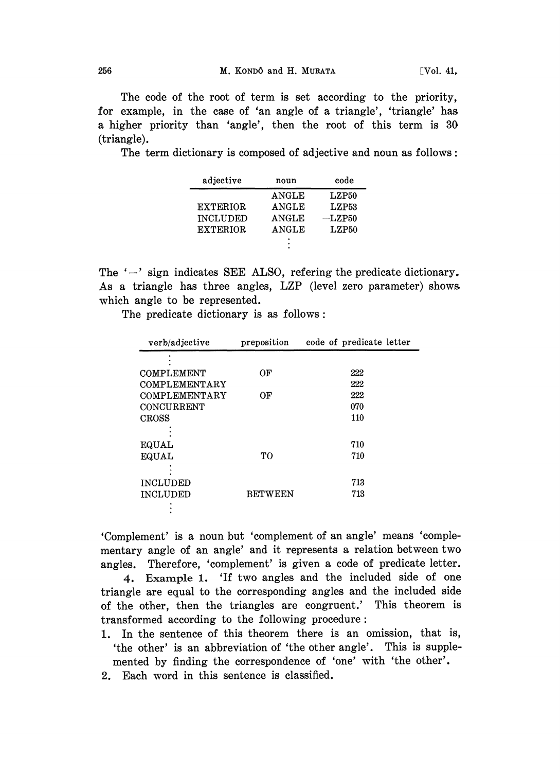The code of the root of term is set according to the priority, for example, in the case of 'an angle of a triangle', 'triangle' has a higher priority than 'angle', then the root of this term is 30 (triangle).

The term dictionary is composed of adjective and noun as follows:

| adjective       | noun         | code     |
|-----------------|--------------|----------|
|                 | ANGLE        | LZP50    |
| <b>EXTERIOR</b> | <b>ANGLE</b> | LZP53    |
| <b>INCLUDED</b> | ANGLE        | $-LZP50$ |
| <b>EXTERIOR</b> | <b>ANGLE</b> | LZP50    |
|                 | ٠            |          |

The  $\prime$ -' sign indicates SEE ALSO, refering the predicate dictionary. As a triangle has three angles, LZP (level zero parameter) shows which angle to be represented.

The predicate dictionary is as follows:

| verb/adjective    | preposition    | code of predicate letter |
|-------------------|----------------|--------------------------|
|                   |                |                          |
| <b>COMPLEMENT</b> | OF             | 222                      |
| COMPLEMENTARY     |                | 222                      |
| COMPLEMENTARY     | ОF             | 222                      |
| CONCURRENT        |                | 070                      |
| <b>CROSS</b>      |                | 110                      |
|                   |                |                          |
| <b>EQUAL</b>      |                | 710                      |
| EQUAL             | TО             | 710                      |
|                   |                |                          |
| <b>INCLUDED</b>   |                | 713                      |
| <b>INCLUDED</b>   | <b>BETWEEN</b> | 713                      |
|                   |                |                          |

'Complement' is a noun but 'complement of an angle' means 'complementary angle of an angle' and it represents a relation between two angles. Therefore, 'complement' is given a code of predicate letter.

4. Example 1. 'If two angles and the included side of one triangle are equal to the corresponding angles and the included side of the other, then the triangles are congruent.' This theorem is transformed according to the following procedure:

- 1. In the sentence of this theorem there is an omission, that is, 'the other' is an abbreviation of 'the other angle'. This is supplemented by finding the correspondence of 'one' with 'the other'.
- 2. Each word in this sentence is classified.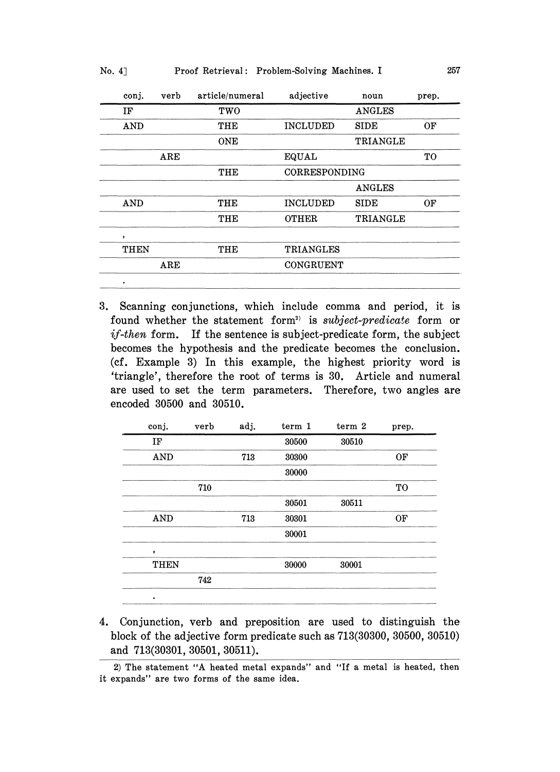| No. 4] |  |  |  | Proof Retrieval: Problem-Solving Machines. I |  | 257 |
|--------|--|--|--|----------------------------------------------|--|-----|
|--------|--|--|--|----------------------------------------------|--|-----|

| conj.      | verb         | article/numeral | adjective       | noun          | prep. |
|------------|--------------|-----------------|-----------------|---------------|-------|
| IF         |              | TWO             |                 | ANGLES        |       |
| <b>AND</b> |              | THE             | <b>INCLUDED</b> | SIDE          | OF    |
|            |              | <b>ONE</b>      |                 | TRIANGLE      |       |
|            | $_{\rm ARE}$ |                 | EQUAL           |               | TO    |
|            |              | THE             | CORRESPONDING   |               |       |
|            |              |                 |                 | <b>ANGLES</b> |       |
| AND        |              | THE             | <b>INCLUDED</b> | SIDE          | OF    |
|            |              | THE             | <b>OTHER</b>    | TRIANGLE      |       |
| ,          |              |                 |                 |               |       |
| THEN       |              | THE             | TRIANGLES       |               |       |
|            | $_{\rm ARE}$ |                 | CONGRUENT       |               |       |
| ٠          |              |                 |                 |               |       |

3. Scanning conjunctions, which include comma and period, it is found whether the statement form<sup>2)</sup> is *subject-predicate* form or  $if$ -then form. If the sentence is subject-predicate form, the subject becomes the hypothesis and the predicate becomes the conclusion. (cf. Example 3) In this example, the highest priority word is 'triangle', therefore the root of terms is 30. Article and numeral are used to set the term parameters. Therefore, two angles are encoded 30500 and 30510.

| conj.       | verb | adj. | term 1 | term 2 | prep.     |
|-------------|------|------|--------|--------|-----------|
| IF          |      |      | 30500  | 30510  |           |
| <b>AND</b>  |      | 713  | 30300  |        | OF        |
|             |      |      | 30000  |        |           |
|             | 710  |      |        |        | <b>TO</b> |
|             |      |      | 30501  | 30511  |           |
| <b>AND</b>  |      | 713  | 30301  |        | OF        |
|             |      |      | 30001  |        |           |
| ,           |      |      |        |        |           |
| <b>THEN</b> |      |      | 30000  | 30001  |           |
|             | 742  |      |        |        |           |
| ٠           |      |      |        |        |           |

4. Conjunction, verb and preposition are used to distinguish the block of the adjective form predicate such as 713(30300, 30500, 30510) and 713(30301, 30501, 30511).

<sup>2)</sup> The statement "A heated metal expands" and "If a metal is heated, then it expands" are two forms of the same idea.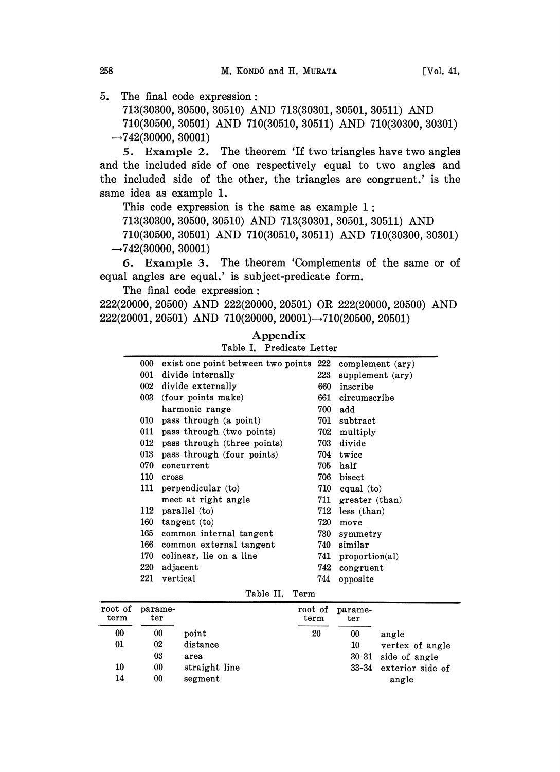5. The final code expression:

713(30300, 30500, 30510) AND 713(30301, 30501, 30511) AND 710(30500, 30501) AND 710(30510, 30511) AND 710(30300, 30301)  $\rightarrow$ 742(30000, 30001)

5. Example 2. The theorem 'If two triangles have two angles and the included side of one respectively equal to two angles and the included side of the other, the triangles are congruent.' is the same idea as example 1.

This code expression is the same as example 1:

713(30300, 30500, 30510) AND 713(30301, 30501, 30511) AND

710(30500, 30501) AND 710(30510, 30511) AND 710(30300, 30301)  $\rightarrow$ 742(30000, 30001)

6. Example 3. The theorem 'Complements of the same or of equal angles are equal.' is subject-predicate form.

The final code expression:

222(20000, 20500) AND 222(20000, 20501) OR 222(20000, 20500) AND  $222(20001, 20501)$  AND  $710(20000, 20001) \rightarrow 710(20500, 20501)$ 

| 000 | exist one point between two points 222 |     | complement (ary) |
|-----|----------------------------------------|-----|------------------|
| 001 | divide internally                      | 223 | supplement (ary) |
| 002 | divide externally                      | 660 | inscribe         |
| 003 | (four points make)                     | 661 | circumscribe     |
|     | harmonic range                         | 700 | add              |
| 010 | pass through (a point)                 | 701 | subtract         |
| 011 | pass through (two points)              | 702 | multiply         |
| 012 | pass through (three points)            | 703 | divide           |
| 013 | pass through (four points)             | 704 | twice            |
| 070 | concurrent                             | 705 | half             |
| 110 | cross                                  | 706 | bisect           |
| 111 | perpendicular (to)                     | 710 | equal (to)       |
|     | meet at right angle                    | 711 | greater (than)   |
| 112 | parallel (to)                          | 712 | less (than)      |
| 160 | tangent(to)                            | 720 | move             |
| 165 | common internal tangent                | 730 | symmetry         |
| 166 | common external tangent                | 740 | similar          |
| 170 | colinear, lie on a line                | 741 | proportion(a)    |
| 220 | adjacent                               | 742 | congruent        |
| 221 | vertical                               | 744 | opposite         |
|     | ---                                    |     |                  |

Appendix Table I. Predicate Letter

Table II. Term

| root of<br>term | parame-<br>ter |               | root of<br>term | parame-<br>ter |                  |
|-----------------|----------------|---------------|-----------------|----------------|------------------|
| 00              | 00             | point         | 20              | 00             | angle            |
| 01              | 02             | distance      |                 | 10             | vertex of angle  |
|                 | 03             | area          |                 | $30 - 31$      | side of angle    |
| 10              | 00             | straight line |                 | $33 - 34$      | exterior side of |
| 14              | 00             | segment       |                 |                | angle            |